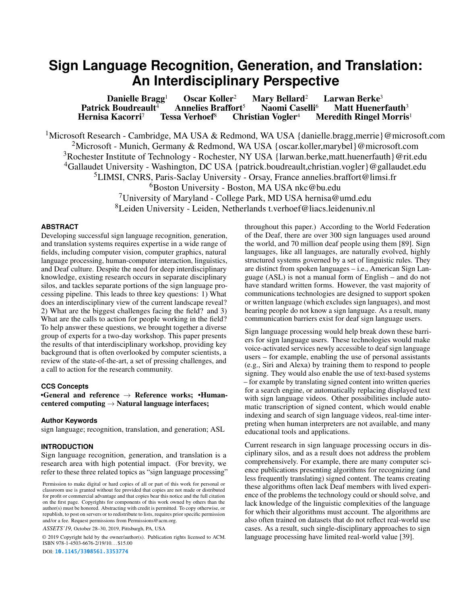# **Sign Language Recognition, Generation, and Translation: An Interdisciplinary Perspective**

Danielle Bragg<sup>1</sup> Oscar Koller<sup>2</sup> Mary Bellard<sup>2</sup> Larwan Berke<sup>3</sup><br>k Boudreault<sup>4</sup> Annelies Braffort<sup>5</sup> Naomi Caselli<sup>6</sup> Matt Huenerfauth<sup>3</sup> Patrick Boudreault<sup>4</sup> Annelies Braffort<sup>5</sup> Naomi Casellic Hernisa Kacorri<sup>7</sup> Tessa Verhoef<sup>8</sup> Christian Vogler<sup>4</sup> Meredith Ringel Morris<sup>1</sup> <sup>1</sup>Microsoft Research - Cambridge, MA USA & Redmond, WA USA {danielle.bragg,merrie}@microsoft.com <sup>2</sup>Microsoft - Munich, Germany & Redmond, WA USA {oscar.koller,marybel}@microsoft.com <sup>3</sup>Rochester Institute of Technology - Rochester, NY USA {larwan.berke, matt.huenerfauth}@rit.edu <sup>4</sup>Gallaudet University - Washington, DC USA {patrick.boudreault, christian.vogler}@gallaudet.edu 5LIMSI, CNRS, Paris-Saclay University - Orsay, France [annelies.braffort@limsi.fr](mailto:annelies.braffort@limsi.fr)  6Boston University - Boston, MA USA [nkc@bu.edu](mailto:nkc@bu.edu) <sup>7</sup>University of Maryland - College Park, MD USA [hernisa@umd.edu](mailto:hernisa@umd.edu) 8Leiden University - Leiden, Netherlands [t.verhoef@liacs.leidenuniv.nl](mailto:t.verhoef@liacs.leidenuniv.nl)

# **ABSTRACT**

Developing successful sign language recognition, generation, and translation systems requires expertise in a wide range of felds, including computer vision, computer graphics, natural language processing, human-computer interaction, linguistics, and Deaf culture. Despite the need for deep interdisciplinary knowledge, existing research occurs in separate disciplinary silos, and tackles separate portions of the sign language processing pipeline. This leads to three key questions: 1) What does an interdisciplinary view of the current landscape reveal? 2) What are the biggest challenges facing the feld? and 3) What are the calls to action for people working in the feld? To help answer these questions, we brought together a diverse group of experts for a two-day workshop. This paper presents the results of that interdisciplinary workshop, providing key background that is often overlooked by computer scientists, a review of the state-of-the-art, a set of pressing challenges, and a call to action for the research community.

#### **CCS Concepts**

•General and reference  $\rightarrow$  Reference works; •Humancentered computing  $\rightarrow$  Natural language interfaces;

# **Author Keywords**

sign language; recognition, translation, and generation; ASL

# **INTRODUCTION**

Sign language recognition, generation, and translation is a research area with high potential impact. (For brevity, we refer to these three related topics as "sign language processing"

*ASSETS'19,* October 28–30, 2019, Pittsburgh, PA, USA

© 2019 Copyright held by the owner/author(s). Publication rights licensed to ACM. ISBN 978-1-4503-6676-2/19/10. . . \$15.00

DOI: <10.1145/3308561.3353774>

throughout this paper.) According to the World Federation of the Deaf, there are over 300 sign languages used around the world, and 70 million deaf people using them [\[89\]](#page-13-0). Sign languages, like all languages, are naturally evolved, highly structured systems governed by a set of linguistic rules. They are distinct from spoken languages – i.e., [American Sign Lan](#page-15-0)[guage \(ASL\)](#page-15-0) is not a manual form of English – and do not have standard written forms. However, the vast majority of communications technologies are designed to support spoken or written language (which excludes sign languages), and most hearing people do not know a sign language. As a result, many communication barriers exist for deaf sign language users.

Sign language processing would help break down these barriers for sign language users. These technologies would make voice-activated services newly accessible to deaf sign language users – for example, enabling the use of personal assistants (e.g., Siri and Alexa) by training them to respond to people signing. They would also enable the use of text-based systems – for example by translating signed content into written queries for a search engine, or automatically replacing displayed text with sign language videos. Other possibilities include automatic transcription of signed content, which would enable indexing and search of sign language videos, real-time interpreting when human interpreters are not available, and many educational tools and applications.

Current research in sign language processing occurs in disciplinary silos, and as a result does not address the problem comprehensively. For example, there are many computer science publications presenting algorithms for recognizing (and less frequently translating) signed content. The teams creating these algorithms often lack Deaf members with lived experience of the problems the technology could or should solve, and lack knowledge of the linguistic complexities of the language for which their algorithms must account. The algorithms are also often trained on datasets that do not refect real-world use cases. As a result, such single-disciplinary approaches to sign language processing have limited real-world value [\[39\]](#page-11-0).

Permission to make digital or hard copies of all or part of this work for personal or classroom use is granted without fee provided that copies are not made or distributed for proft or commercial advantage and that copies bear this notice and the full citation on the frst page. Copyrights for components of this work owned by others than the author(s) must be honored. Abstracting with credit is permitted. To copy otherwise, or republish, to post on servers or to redistribute to lists, requires prior specifc permission and/or a fee. Request permissions from [Permissions@acm.org.](mailto:Permissions@acm.org)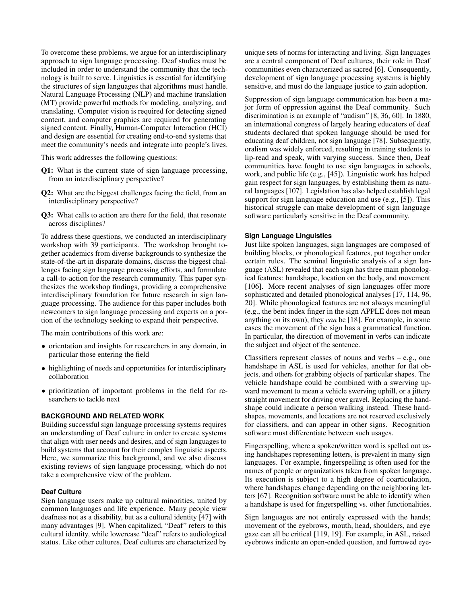To overcome these problems, we argue for an interdisciplinary approach to sign language processing. Deaf studies must be included in order to understand the community that the technology is built to serve. Linguistics is essential for identifying the structures of sign languages that algorithms must handle. [Natural Language Processing \(NLP\)](#page-15-1) and [machine translation](#page-15-2)  [\(MT\)](#page-15-2) provide powerful methods for modeling, analyzing, and translating. Computer vision is required for detecting signed content, and computer graphics are required for generating signed content. Finally, [Human-Computer Interaction \(HCI\)](#page-15-3)  and design are essential for creating end-to-end systems that meet the community's needs and integrate into people's lives.

This work addresses the following questions:

- Q1: What is the current state of sign language processing, from an interdisciplinary perspective?
- Q2: What are the biggest challenges facing the feld, from an interdisciplinary perspective?
- Q3: What calls to action are there for the feld, that resonate across disciplines?

To address these questions, we conducted an interdisciplinary workshop with 39 participants. The workshop brought together academics from diverse backgrounds to synthesize the state-of-the-art in disparate domains, discuss the biggest challenges facing sign language processing efforts, and formulate a call-to-action for the research community. This paper synthesizes the workshop fndings, providing a comprehensive interdisciplinary foundation for future research in sign language processing. The audience for this paper includes both newcomers to sign language processing and experts on a portion of the technology seeking to expand their perspective.

The main contributions of this work are:

- orientation and insights for researchers in any domain, in particular those entering the feld
- highlighting of needs and opportunities for interdisciplinary collaboration
- prioritization of important problems in the feld for researchers to tackle next

# **BACKGROUND AND RELATED WORK**

Building successful sign language processing systems requires an understanding of [Deaf culture](#page-15-4) in order to create systems that align with user needs and desires, and of sign languages to build systems that account for their complex linguistic aspects. Here, we summarize this background, and we also discuss existing reviews of sign language processing, which do not take a comprehensive view of the problem.

# **Deaf Culture**

Sign language users make up cultural minorities, united by common languages and life experience. Many people view deafness not as a disability, but as a cultural identity [\[47\]](#page-11-1) with many advantages [\[9\]](#page-10-0). When capitalized, "Deaf" refers to this cultural identity, while lowercase "deaf" refers to audiological status. Like other cultures, [Deaf cultures](#page-15-4) are characterized by

unique sets of norms for interacting and living. Sign languages are a central component of [Deaf cultures,](#page-15-4) their role in Deaf communities even characterized as sacred [\[6\]](#page-10-1). Consequently, development of sign language processing systems is highly sensitive, and must do the language justice to gain adoption.

Suppression of sign language communication has been a major form of oppression against the Deaf community. Such discrimination is an example of ["audism"](#page-15-5) [\[8,](#page-10-2) [36,](#page-11-2) [60\]](#page-12-0). In 1880, an international congress of largely hearing educators of deaf students declared that spoken language should be used for educating deaf children, not sign language [\[78\]](#page-13-1). Subsequently, oralism was widely enforced, resulting in training students to lip-read and speak, with varying success. Since then, Deaf communities have fought to use sign languages in schools, work, and public life (e.g., [\[45\]](#page-11-3)). Linguistic work has helped gain respect for sign languages, by establishing them as natural languages [\[107\]](#page-14-0). Legislation has also helped establish legal support for sign language education and use (e.g., [\[5\]](#page-10-3)). This historical struggle can make development of sign language software particularly sensitive in the Deaf community.

# **Sign Language Linguistics**

Just like spoken languages, sign languages are composed of building blocks, or [phonological](#page-15-6) features, put together under certain rules. The seminal linguistic analysis of a sign language [\(ASL\)](#page-15-0) revealed that each sign has three main [phonolog](#page-15-6)[ical](#page-15-6) features: handshape, location on the body, and movement [\[106\]](#page-14-1). More recent analyses of sign languages offer more sophisticated and detailed [phonological](#page-15-6) analyses [\[17,](#page-10-4) [114,](#page-14-2) [96,](#page-13-2) [20\]](#page-10-5). While [phonological](#page-15-6) features are not always meaningful (e.g., the bent index fnger in the sign APPLE does not mean anything on its own), they *can* be [\[18\]](#page-10-6). For example, in some cases the movement of the sign has a grammatical function. In particular, the direction of movement in verbs can indicate the subject and object of the sentence.

Classifiers represent classes of nouns and verbs  $-$  e.g., one handshape in [ASL](#page-15-0) is used for vehicles, another for flat objects, and others for grabbing objects of particular shapes. The vehicle handshape could be combined with a swerving upward movement to mean a vehicle swerving uphill, or a jittery straight movement for driving over gravel. Replacing the handshape could indicate a person walking instead. These handshapes, movements, and locations are not reserved exclusively for [classifers,](#page-15-7) and can appear in other signs. Recognition software must differentiate between such usages.

[Fingerspelling,](#page-15-8) where a spoken/written word is spelled out using handshapes representing letters, is prevalent in many sign languages. For example, [fngerspelling](#page-15-8) is often used for the names of people or organizations taken from spoken language. Its execution is subject to a high degree of coarticulation, where handshapes change depending on the neighboring letters [\[67\]](#page-12-1). Recognition software must be able to identify when a handshape is used for [fngerspelling](#page-15-8) vs. other functionalities.

Sign languages are not entirely expressed with the hands; movement of the eyebrows, mouth, head, shoulders, and eye gaze can all be critical [\[119,](#page-14-3) [19\]](#page-10-7). For example, in [ASL,](#page-15-0) raised eyebrows indicate an open-ended question, and furrowed eye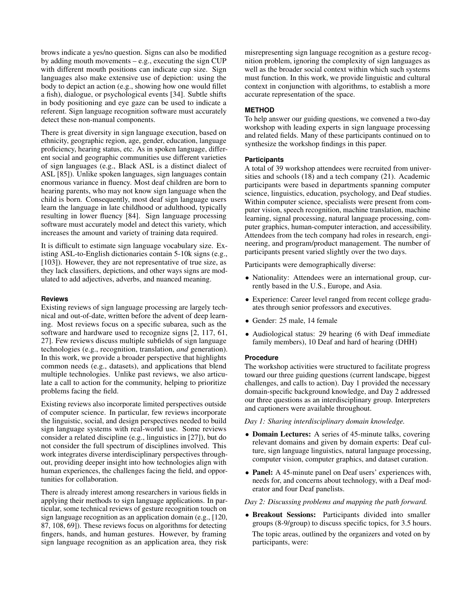brows indicate a yes/no question. Signs can also be modifed by adding mouth movements – e.g., executing the sign CUP with different mouth positions can indicate cup size. Sign languages also make extensive use of [depiction:](#page-15-9) using the body to depict an action (e.g., showing how one would fllet a fish), dialogue, or psychological events [\[34\]](#page-11-4). Subtle shifts in body positioning and eye gaze can be used to indicate a referent. Sign language recognition software must accurately detect these non-manual components.

There is great diversity in sign language execution, based on ethnicity, geographic region, age, gender, education, language profciency, hearing status, etc. As in spoken language, different social and geographic communities use different varieties of sign languages (e.g., Black ASL is a distinct dialect of [ASL](#page-15-0) [\[85\]](#page-13-3)). Unlike spoken languages, sign languages contain enormous variance in fuency. Most deaf children are born to hearing parents, who may not know sign language when the child is born. Consequently, most deaf sign language users learn the language in late childhood or adulthood, typically resulting in lower fuency [\[84\]](#page-13-4). Sign language processing software must accurately model and detect this variety, which increases the amount and variety of training data required.

It is diffcult to estimate sign language [vocabulary](#page-15-10) size. Existing [ASL-](#page-15-0)to-English dictionaries contain 5-10k signs (e.g., [\[103\]](#page-14-4)). However, they are not representative of true size, as they lack [classifers,](#page-15-7) [depictions,](#page-15-9) and other ways signs are modulated to add adjectives, adverbs, and nuanced meaning.

# **Reviews**

Existing reviews of sign language processing are largely technical and out-of-date, written before the advent of deep learning. Most reviews focus on a specifc subarea, such as the software and hardware used to recognize signs [\[2,](#page-10-8) [117,](#page-14-5) [61,](#page-12-2) [27\]](#page-11-5). Few reviews discuss multiple subfelds of sign language technologies (e.g., recognition, translation, *and* generation). In this work, we provide a broader perspective that highlights common needs (e.g., datasets), and applications that blend multiple technologies. Unlike past reviews, we also articulate a call to action for the community, helping to prioritize problems facing the feld.

Existing reviews also incorporate limited perspectives outside of computer science. In particular, few reviews incorporate the linguistic, social, and design perspectives needed to build sign language systems with real-world use. Some reviews consider a related discipline (e.g., linguistics in [\[27\]](#page-11-5)), but do not consider the full spectrum of disciplines involved. This work integrates diverse interdisciplinary perspectives throughout, providing deeper insight into how technologies align with human experiences, the challenges facing the feld, and opportunities for collaboration.

There is already interest among researchers in various felds in applying their methods to sign language applications. In particular, some technical reviews of gesture recognition touch on sign language recognition as an application domain (e.g., [\[120,](#page-14-6) [87,](#page-13-5) [108,](#page-14-7) [69\]](#page-12-3)). These reviews focus on algorithms for detecting fngers, hands, and human gestures. However, by framing sign language recognition as an application area, they risk

misrepresenting sign language recognition as a gesture recognition problem, ignoring the complexity of sign languages as well as the broader social context within which such systems must function. In this work, we provide linguistic and cultural context in conjunction with algorithms, to establish a more accurate representation of the space.

# **METHOD**

To help answer our guiding questions, we convened a two-day workshop with leading experts in sign language processing and related felds. Many of these participants continued on to synthesize the workshop fndings in this paper.

# **Participants**

A total of 39 workshop attendees were recruited from universities and schools (18) and a tech company (21). Academic participants were based in departments spanning computer science, linguistics, education, psychology, and Deaf studies. Within computer science, specialists were present from computer vision, speech recognition, machine translation, machine learning, signal processing, natural language processing, computer graphics, human-computer interaction, and accessibility. Attendees from the tech company had roles in research, engineering, and program/product management. The number of participants present varied slightly over the two days.

Participants were demographically diverse:

- Nationality: Attendees were an international group, currently based in the U.S., Europe, and Asia.
- Experience: Career level ranged from recent college graduates through senior professors and executives.
- Gender: 25 male, 14 female
- Audiological status: 29 hearing (6 with Deaf immediate family members), 10 [Deaf and hard of hearing \(DHH\)](#page-15-11)

#### **Procedure**

The workshop activities were structured to facilitate progress toward our three guiding questions (current landscape, biggest challenges, and calls to action). Day 1 provided the necessary domain-specifc background knowledge, and Day 2 addressed our three questions as an interdisciplinary group. Interpreters and captioners were available throughout.

*Day 1: Sharing interdisciplinary domain knowledge.* 

- **Domain Lectures:** A series of 45-minute talks, covering relevant domains and given by domain experts: Deaf culture, sign language linguistics, natural language processing, computer vision, computer graphics, and dataset curation.
- Panel: A 45-minute panel on Deaf users' experiences with, needs for, and concerns about technology, with a Deaf moderator and four Deaf panelists.

*Day 2: Discussing problems and mapping the path forward.* 

• Breakout Sessions: Participants divided into smaller groups (8-9/group) to discuss specifc topics, for 3.5 hours. The topic areas, outlined by the organizers and voted on by participants, were: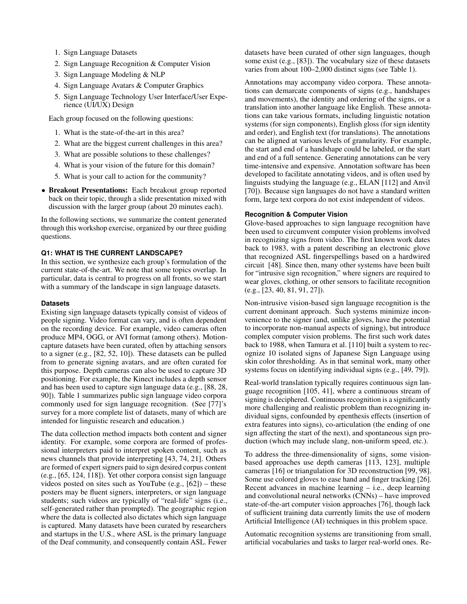- 1. Sign Language Datasets
- 2. Sign Language Recognition & Computer Vision
- 3. Sign Language Modeling & [NLP](#page-15-1)
- 4. Sign Language Avatars & Computer Graphics
- 5. Sign Language Technology [User Interface/User Expe](#page-15-12)[rience \(UI/UX\)](#page-15-12) Design

Each group focused on the following questions:

- 1. What is the state-of-the-art in this area?
- 2. What are the biggest current challenges in this area?
- 3. What are possible solutions to these challenges?
- 4. What is your vision of the future for this domain?
- 5. What is your call to action for the community?
- Breakout Presentations: Each breakout group reported back on their topic, through a slide presentation mixed with discussion with the larger group (about 20 minutes each).

In the following sections, we summarize the content generated through this workshop exercise, organized by our three guiding questions.

# **Q1: WHAT IS THE CURRENT LANDSCAPE?**

In this section, we synthesize each group's formulation of the current state-of-the-art. We note that some topics overlap. In particular, data is central to progress on all fronts, so we start with a summary of the landscape in sign language datasets.

#### **Datasets**

Existing sign language datasets typically consist of videos of people signing. Video format can vary, and is often dependent on the recording device. For example, video cameras often produce MP4, OGG, or AVI format (among others). Motioncapture datasets have been curated, often by attaching sensors to a signer (e.g., [\[82,](#page-13-6) [52,](#page-12-4) [10\]](#page-10-9)). These datasets can be pulled from to generate signing avatars, and are often curated for this purpose. Depth cameras can also be used to capture 3D positioning. For example, the Kinect includes a depth sensor and has been used to capture sign language data (e.g., [\[88,](#page-13-7) [28,](#page-11-6) [90\]](#page-13-8)). Table [1](#page-4-0) summarizes public sign language video corpora commonly used for sign language recognition. (See [\[77\]](#page-13-9)'s survey for a more complete list of datasets, many of which are intended for linguistic research and education.)

The data collection method impacts both content and signer identity. For example, some corpora are formed of professional interpreters paid to interpret spoken content, such as news channels that provide interpreting [\[43,](#page-11-7) [74,](#page-13-10) [21\]](#page-10-10). Others are formed of expert signers paid to sign desired corpus content (e.g., [\[65,](#page-12-5) [124,](#page-15-14) [118\]](#page-14-8)). Yet other corpora consist sign language videos posted on sites such as YouTube (e.g., [\[62\]](#page-12-6)) – these posters may be fuent signers, interpreters, or sign language students; such videos are typically of "real-life" signs (i.e., self-generated rather than prompted). The geographic region where the data is collected also dictates which sign language is captured. Many datasets have been curated by researchers and startups in the U.S., where [ASL](#page-15-0) is the primary language of the Deaf community, and consequently contain [ASL.](#page-15-0) Fewer

datasets have been curated of other sign languages, though some exist (e.g., [\[83\]](#page-13-11)). The [vocabulary](#page-15-10) size of these datasets varies from about 100–2,000 distinct signs (see Table [1\)](#page-4-0).

[Annotations](#page-15-15) may accompany video corpora. These [annota](#page-15-15)[tions](#page-15-15) can demarcate components of signs (e.g., handshapes and movements), the identity and ordering of the signs, or a translation into another language like English. These [annota](#page-15-15)[tions](#page-15-15) can take various formats, including linguistic notation systems (for sign components), English gloss (for sign identity and order), and English text (for translations). The [annotations](#page-15-15)  can be aligned at various levels of granularity. For example, the start and end of a handshape could be labeled, or the start and end of a full sentence. Generating [annotations](#page-15-15) can be very time-intensive and expensive. [Annotation](#page-15-15) software has been developed to facilitate annotating videos, and is often used by linguists studying the language (e.g., ELAN [\[112\]](#page-14-9) and Anvil [\[70\]](#page-12-7)). Because sign languages do not have a standard written form, large text corpora do not exist independent of videos.

# **Recognition & Computer Vision**

Glove-based approaches to sign language recognition have been used to circumvent computer vision problems involved in recognizing signs from video. The frst known work dates back to 1983, with a patent describing an electronic glove that recognized [ASL](#page-15-0) fngerspellings based on a hardwired circuit [\[48\]](#page-11-8). Since then, many other systems have been built for "intrusive sign recognition," where signers are required to wear gloves, clothing, or other sensors to facilitate recognition (e.g., [\[23,](#page-10-11) [40,](#page-11-9) [81,](#page-13-12) [91,](#page-13-13) [27\]](#page-11-5)).

Non-intrusive vision-based sign language recognition is the current dominant approach. Such systems minimize inconvenience to the signer (and, unlike gloves, have the potential to incorporate non-manual aspects of signing), but introduce complex computer vision problems. The frst such work dates back to 1988, when Tamura et al. [\[110\]](#page-14-10) built a system to recognize 10 isolated signs of Japanese Sign Language using skin color thresholding. As in that seminal work, many other systems focus on identifying individual signs (e.g., [\[49,](#page-11-10) [79\]](#page-13-14)).

Real-world translation typically requires continuous sign language recognition [\[105,](#page-14-11) [41\]](#page-11-11), where a continuous stream of signing is deciphered. Continuous recognition is a signifcantly more challenging and realistic problem than recognizing individual signs, confounded by [epenthesis](#page-15-16) effects (insertion of extra features into signs), [co-articulation](#page-15-17) (the ending of one sign affecting the start of the next), and spontaneous sign production (which may include slang, non-uniform speed, etc.).

To address the three-dimensionality of signs, some visionbased approaches use depth cameras [\[113,](#page-14-12) [123\]](#page-14-13), multiple cameras [\[16\]](#page-10-12) or triangulation for 3D reconstruction [\[99,](#page-14-14) [98\]](#page-14-15). Some use colored gloves to ease hand and fnger tracking [\[26\]](#page-10-13). Recent advances in machine learning – i.e., deep learning and [convolutional neural networks \(CNNs\)](#page-15-18) – have improved state-of-the-art computer vision approaches [\[76\]](#page-13-15), though lack of suffcient training data currently limits the use of modern [Artifcial Intelligence \(AI\)](#page-15-19) techniques in this problem space.

Automatic recognition systems are transitioning from small, artifcial [vocabularies](#page-15-10) and tasks to larger real-world ones. Re-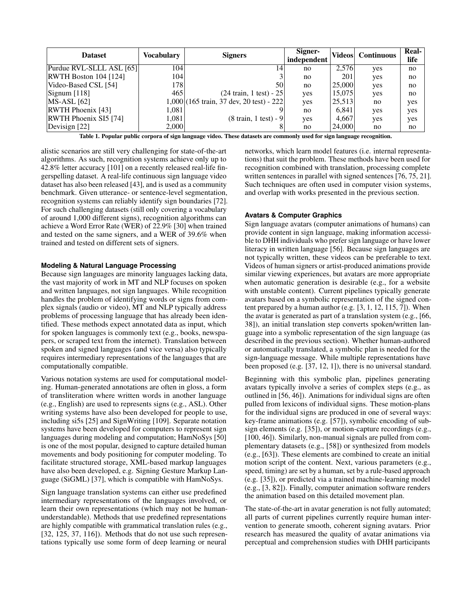| <b>Dataset</b>                               | <b>Vocabulary</b> | <b>Signers</b>                             | Signer-<br>independent |        | Videos Continuous | Real-<br>life |
|----------------------------------------------|-------------------|--------------------------------------------|------------------------|--------|-------------------|---------------|
| Purdue RVL-SLLL ASL [65]                     | 104               | 14                                         | no                     | 2,576  | yes               | no            |
| <b>RWTH Boston 104 [124]</b>                 | 104               |                                            | no                     | 201    | yes               | no            |
| Video-Based CSL [54]                         | 178               | 50 <sup>1</sup>                            | no                     | 25,000 | yes               | no            |
| $\left  \right $ Signum $\left  \right $ 118 | 465               | $(24 \text{ train}, 1 \text{ test}) - 25$  | yes                    | 15,075 | yes               | no            |
| $MS-ASL$ [62]                                |                   | $1,000$ (165 train, 37 dev, 20 test) - 222 | yes                    | 25,513 | no                | yes           |
| <b>RWTH Phoenix [43]</b>                     | 1.081             |                                            | no                     | 6,841  | yes               | yes           |
| RWTH Phoenix SI5 [74]                        | 1.081             | $(8 \text{ train}, 1 \text{ test}) - 9$    | yes                    | 4,667  | yes               | yes           |
| Devisign [22]                                | 2,000             |                                            | no                     | 24,000 | no                | no            |

<span id="page-4-0"></span>Table 1. Popular public corpora of sign language video. These datasets are commonly used for sign language recognition.

alistic scenarios are still very challenging for state-of-the-art algorithms. As such, recognition systems achieve only up to 42.8% letter accuracy [\[101\]](#page-14-16) on a recently released real-life [fn](#page-15-8)[gerspelling](#page-15-8) dataset. A real-life continuous sign language video dataset has also been released [\[43\]](#page-11-7), and is used as a community benchmark. Given utterance- or sentence-level segmentation, recognition systems can reliably identify sign boundaries [\[72\]](#page-12-9). For such challenging datasets (still only covering a [vocabulary](#page-15-10)  of around 1,000 different signs), recognition algorithms can achieve a [Word Error Rate \(WER\)](#page-15-23) of 22.9% [\[30\]](#page-11-12) when trained and tested on the same signers, and a [WER](#page-15-23) of 39.6% when trained and tested on different sets of signers.

# **Modeling & Natural Language Processing**

Because sign languages are minority languages lacking data, the vast majority of work in [MT](#page-15-2) and [NLP](#page-15-1) focuses on spoken and written languages, not sign languages. While recognition handles the problem of identifying words or signs from complex signals (audio or video), [MT](#page-15-2) and [NLP](#page-15-1) typically address problems of processing language that has already been identifed. These methods expect annotated data as input, which for spoken languages is commonly text (e.g., books, newspapers, or scraped text from the internet). Translation between spoken and signed languages (and vice versa) also typically requires intermediary representations of the languages that are computationally compatible.

Various notation systems are used for computational modeling. Human-generated [annotations](#page-15-15) are often in [gloss,](#page-15-24) a form of transliteration where written words in another language (e.g., English) are used to represents signs (e.g., [ASL\)](#page-15-0). Other writing systems have also been developed for people to use, including si5s [\[25\]](#page-10-15) and SignWriting [\[109\]](#page-14-17). Separate notation systems have been developed for computers to represent sign languages during modeling and computation; [HamNoSys](#page-15-25) [\[50\]](#page-11-13) is one of the most popular, designed to capture detailed human movements and body positioning for computer modeling. To facilitate structured storage, XML-based markup languages have also been developed, e.g. Signing Gesture Markup Language (SiGML) [\[37\]](#page-11-14), which is compatible with [HamNoSys.](#page-15-25)

Sign language translation systems can either use predefned intermediary representations of the languages involved, or learn their own representations (which may not be humanunderstandable). Methods that use predefned representations are highly compatible with grammatical translation rules (e.g., [\[32,](#page-11-15) [125,](#page-15-26) [37,](#page-11-14) [116\]](#page-14-18)). Methods that do not use such representations typically use some form of deep learning or neural

networks, which learn model features (i.e. internal representations) that suit the problem. These methods have been used for recognition combined with translation, processing complete written sentences in parallel with signed sentences [\[76,](#page-13-15) [75,](#page-13-16) [21\]](#page-10-10). Such techniques are often used in computer vision systems, and overlap with works presented in the previous section.

#### **Avatars & Computer Graphics**

Sign language avatars (computer animations of humans) can provide content in sign language, making information accessible to [DHH](#page-15-11) individuals who prefer sign language or have lower literacy in written language [\[56\]](#page-12-10). Because sign languages are not typically written, these videos can be preferable to text. Videos of human signers or artist-produced animations provide similar viewing experiences, but avatars are more appropriate when automatic generation is desirable (e.g., for a website with unstable content). Current pipelines typically generate avatars based on a symbolic representation of the signed content prepared by a human author (e.g. [\[3,](#page-10-16) [1,](#page-10-17) [12,](#page-10-18) [115,](#page-14-19) [7\]](#page-10-19)). When the avatar is generated as part of a translation system (e.g., [\[66,](#page-12-11) [38\]](#page-11-16)), an initial translation step converts spoken/written language into a symbolic representation of the sign language (as described in the previous section). Whether human-authored or automatically translated, a symbolic plan is needed for the sign-language message. While multiple representations have been proposed (e.g. [\[37,](#page-11-14) [12,](#page-10-18) [1\]](#page-10-17)), there is no universal standard.

Beginning with this symbolic plan, pipelines generating avatars typically involve a series of complex steps (e.g., as outlined in [\[56,](#page-12-10) [46\]](#page-11-17)). Animations for individual signs are often pulled from lexicons of individual signs. These motion-plans for the individual signs are produced in one of several ways: key-frame animations (e.g. [\[57\]](#page-12-12)), symbolic encoding of subsign elements (e.g. [\[35\]](#page-11-18)), or motion-capture recordings (e.g., [\[100,](#page-14-20) [46\]](#page-11-17)). Similarly, non-manual signals are pulled from complementary datasets (e.g., [\[58\]](#page-12-13)) or synthesized from models (e.g., [\[63\]](#page-12-14)). These elements are combined to create an initial motion script of the content. Next, various parameters (e.g., speed, timing) are set by a human, set by a rule-based approach (e.g. [\[35\]](#page-11-18)), or predicted via a trained machine-learning model (e.g., [\[3,](#page-10-16) [82\]](#page-13-6)). Finally, computer animation software renders the animation based on this detailed movement plan.

The state-of-the-art in avatar generation is not fully automated; all parts of current pipelines currently require human intervention to generate smooth, coherent signing avatars. Prior research has measured the quality of avatar animations via perceptual and comprehension studies with [DHH](#page-15-11) participants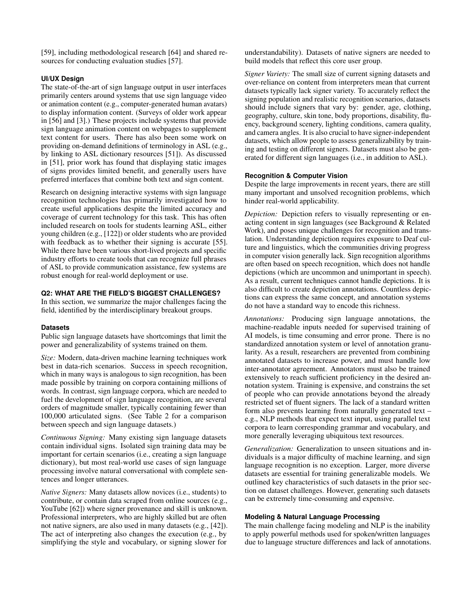[\[59\]](#page-12-15), including methodological research [\[64\]](#page-12-16) and shared resources for conducting evaluation studies [\[57\]](#page-12-12).

# **[UI/UX](#page-15-12) Design**

The state-of-the-art of sign language output in user interfaces primarily centers around systems that use sign language video or animation content (e.g., computer-generated human avatars) to display information content. (Surveys of older work appear in [\[56\]](#page-12-10) and [\[3\]](#page-10-16).) These projects include systems that provide sign language animation content on webpages to supplement text content for users. There has also been some work on providing on-demand defnitions of terminology in [ASL](#page-15-0) (e.g., by linking to [ASL](#page-15-0) dictionary resources [\[51\]](#page-11-19)). As discussed in [\[51\]](#page-11-19), prior work has found that displaying static images of signs provides limited beneft, and generally users have preferred interfaces that combine both text and sign content.

Research on designing interactive systems with sign language recognition technologies has primarily investigated how to create useful applications despite the limited accuracy and coverage of current technology for this task. This has often included research on tools for students learning [ASL,](#page-15-0) either young children (e.g., [\[122\]](#page-14-21)) or older students who are provided with feedback as to whether their signing is accurate [\[55\]](#page-12-17). While there have been various short-lived projects and specifc industry efforts to create tools that can recognize full phrases of [ASL](#page-15-0) to provide communication assistance, few systems are robust enough for real-world deployment or use.

#### **Q2: WHAT ARE THE FIELD'S BIGGEST CHALLENGES?**

In this section, we summarize the major challenges facing the feld, identifed by the interdisciplinary breakout groups.

#### **Datasets**

Public sign language datasets have shortcomings that limit the power and generalizability of systems trained on them.

*Size:* Modern, data-driven machine learning techniques work best in data-rich scenarios. Success in speech recognition, which in many ways is analogous to sign recognition, has been made possible by training on corpora containing millions of words. In contrast, sign language corpora, which are needed to fuel the development of sign language recognition, are several orders of magnitude smaller, typically containing fewer than 100,000 articulated signs. (See Table [2](#page-6-0) for a comparison between speech and sign language datasets.)

*[Continuous](#page-15-21) Signing:* Many existing sign language datasets contain individual signs. Isolated sign training data may be important for certain scenarios (i.e., creating a sign language dictionary), but most real-world use cases of sign language processing involve natural conversational with complete sentences and longer utterances.

*Native Signers:* Many datasets allow novices (i.e., students) to contribute, or contain data scraped from online sources (e.g., YouTube [\[62\]](#page-12-6)) where signer provenance and skill is unknown. Professional interpreters, who are highly skilled but are often not native signers, are also used in many datasets (e.g., [\[42\]](#page-11-20)). The act of interpreting also changes the execution (e.g., by simplifying the style and vocabulary, or signing slower for

understandability). Datasets of native signers are needed to build models that refect this core user group.

*Signer Variety:* The small size of current signing datasets and over-reliance on content from interpreters mean that current datasets typically lack signer variety. To accurately refect the signing population and realistic recognition scenarios, datasets should include signers that vary by: gender, age, clothing, geography, culture, skin tone, body proportions, disability, fuency, background scenery, lighting conditions, camera quality, and camera angles. It is also crucial to have [signer-independent](#page-15-20)  datasets, which allow people to assess generalizability by training and testing on different signers. Datasets must also be generated for different sign languages (i.e., in addition to [ASL\)](#page-15-0).

# **Recognition & Computer Vision**

Despite the large improvements in recent years, there are still many important and unsolved recognition problems, which hinder real-world applicability.

*[Depiction:](#page-15-9)* [Depiction](#page-15-9) refers to visually representing or enacting content in sign languages (see Background & Related Work), and poses unique challenges for recognition and translation. Understanding depiction requires exposure to [Deaf cul](#page-15-4)[ture](#page-15-4) and linguistics, which the communities driving progress in computer vision generally lack. Sign recognition algorithms are often based on speech recognition, which does not handle depictions (which are uncommon and unimportant in speech). As a result, current techniques cannot handle depictions. It is also diffcult to create [depiction](#page-15-9) [annotations.](#page-15-15) Countless depictions can express the same concept, and [annotation](#page-15-15) systems do not have a standard way to encode this richness.

*Annotations:* Producing sign language [annotations,](#page-15-15) the machine-readable inputs needed for supervised training of [AI](#page-15-19) models, is time consuming and error prone. There is no standardized [annotation](#page-15-15) system or level of [annotation](#page-15-15) granularity. As a result, researchers are prevented from combining annotated datasets to increase power, and must handle low inter-annotator agreement. Annotators must also be trained extensively to reach sufficient proficiency in the desired [an](#page-15-15)[notation](#page-15-15) system. Training is expensive, and constrains the set of people who can provide [annotations](#page-15-15) beyond the already restricted set of fuent signers. The lack of a standard written form also prevents learning from naturally generated text – e.g., [NLP](#page-15-1) methods that expect text input, using parallel text corpora to learn corresponding grammar and vocabulary, and more generally leveraging ubiquitous text resources.

*Generalization:* Generalization to unseen situations and individuals is a major diffculty of machine learning, and sign language recognition is no exception. Larger, more diverse datasets are essential for training generalizable models. We outlined key characteristics of such datasets in the prior section on dataset challenges. However, generating such datasets can be extremely time-consuming and expensive.

#### **Modeling & Natural Language Processing**

The main challenge facing modeling and [NLP](#page-15-1) is the inability to apply powerful methods used for spoken/written languages due to language structure differences and lack of [annotations.](#page-15-15)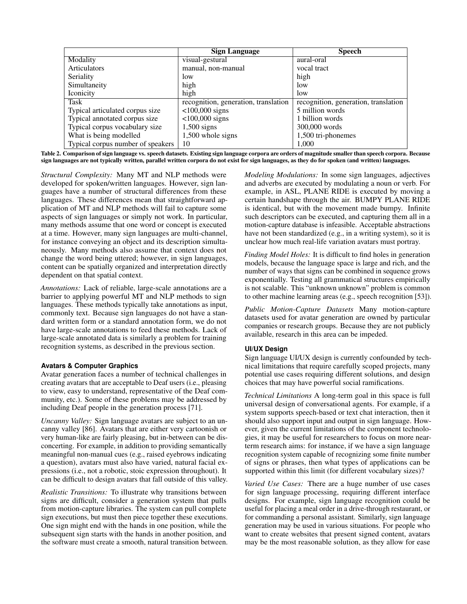|                                   | <b>Sign Language</b>                 | <b>Speech</b>                        |
|-----------------------------------|--------------------------------------|--------------------------------------|
| Modality                          | visual-gestural                      | aural-oral                           |
| <b>Articulators</b>               | manual, non-manual                   | vocal tract                          |
| Seriality                         | low                                  | high                                 |
| Simultaneity                      | high                                 | low                                  |
| <b>Iconicity</b>                  | high                                 | low                                  |
| Task                              | recognition, generation, translation | recognition, generation, translation |
| Typical articulated corpus size   | $<$ 100,000 signs                    | 5 million words                      |
| Typical annotated corpus size     | $<$ 100,000 signs                    | 1 billion words                      |
| Typical corpus vocabulary size    | $1,500$ signs                        | 300,000 words                        |
| What is being modelled            | 1,500 whole signs                    | 1,500 tri-phonemes                   |
| Typical corpus number of speakers | 10                                   | 1,000                                |

<span id="page-6-0"></span>Table 2. Comparison of sign language vs. speech datasets. Existing sign language corpora are orders of magnitude smaller than speech corpora. Because sign languages are not typically written, parallel written corpora do not exist for sign languages, as they do for spoken (and written) languages.

*Structural Complexity:* Many [MT](#page-15-2) and [NLP](#page-15-1) methods were developed for spoken/written languages. However, sign languages have a number of structural differences from these languages. These differences mean that straightforward application of [MT](#page-15-2) and [NLP](#page-15-1) methods will fail to capture some aspects of sign languages or simply not work. In particular, many methods assume that one word or concept is executed at a time. However, many sign languages are multi-channel, for instance conveying an object and its description simultaneously. Many methods also assume that context does not change the word being uttered; however, in sign languages, content can be spatially organized and interpretation directly dependent on that spatial context.

*Annotations:* Lack of reliable, large-scale [annotations](#page-15-15) are a barrier to applying powerful MT and NLP methods to sign languages. These methods typically take [annotations](#page-15-15) as input, commonly text. Because sign languages do not have a standard written form or a standard [annotation](#page-15-15) form, we do not have large-scale [annotations](#page-15-15) to feed these methods. Lack of large-scale annotated data is similarly a problem for training recognition systems, as described in the previous section.

# **Avatars & Computer Graphics**

Avatar generation faces a number of technical challenges in creating avatars that are acceptable to Deaf users (i.e., pleasing to view, easy to understand, representative of the Deaf community, etc.). Some of these problems may be addressed by including Deaf people in the generation process [\[71\]](#page-12-18).

*Uncanny Valley:* Sign language avatars are subject to an uncanny valley [\[86\]](#page-13-17). Avatars that are either very cartoonish or very human-like are fairly pleasing, but in-between can be disconcerting. For example, in addition to providing semantically meaningful non-manual cues (e.g., raised eyebrows indicating a question), avatars must also have varied, natural facial expressions (i.e., not a robotic, stoic expression throughout). It can be diffcult to design avatars that fall outside of this valley.

*Realistic Transitions:* To illustrate why transitions between signs are diffcult, consider a generation system that pulls from motion-capture libraries. The system can pull complete sign executions, but must then piece together these executions. One sign might end with the hands in one position, while the subsequent sign starts with the hands in another position, and the software must create a smooth, natural transition between. *Modeling Modulations:* In some sign languages, adjectives and adverbs are executed by modulating a noun or verb. For example, in [ASL,](#page-15-0) PLANE RIDE is executed by moving a certain handshape through the air. BUMPY PLANE RIDE is identical, but with the movement made bumpy. Infnite such descriptors can be executed, and capturing them all in a motion-capture database is infeasible. Acceptable abstractions have not been standardized (e.g., in a writing system), so it is unclear how much real-life variation avatars must portray.

*Finding Model Holes:* It is difficult to find holes in generation models, because the language space is large and rich, and the number of ways that signs can be combined in sequence grows exponentially. Testing all grammatical structures empirically is not scalable. This "unknown unknown" problem is common to other machine learning areas (e.g., speech recognition [\[53\]](#page-12-19)).

*Public Motion-Capture Datasets* Many motion-capture datasets used for avatar generation are owned by particular companies or research groups. Because they are not publicly available, research in this area can be impeded.

# **[UI/UX](#page-15-12) Design**

Sign language [UI/UX](#page-15-12) design is currently confounded by technical limitations that require carefully scoped projects, many potential use cases requiring different solutions, and design choices that may have powerful social ramifcations.

*Technical Limitations* A long-term goal in this space is full universal design of conversational agents. For example, if a system supports speech-based or text chat interaction, then it should also support input and output in sign language. However, given the current limitations of the component technologies, it may be useful for researchers to focus on more nearterm research aims: for instance, if we have a sign language recognition system capable of recognizing some fnite number of signs or phrases, then what types of applications can be supported within this limit (for different [vocabulary](#page-15-10) sizes)?

*Varied Use Cases:* There are a huge number of use cases for sign language processing, requiring different interface designs. For example, sign language recognition could be useful for placing a meal order in a drive-through restaurant, or for commanding a personal assistant. Similarly, sign language generation may be used in various situations. For people who want to create websites that present signed content, avatars may be the most reasonable solution, as they allow for ease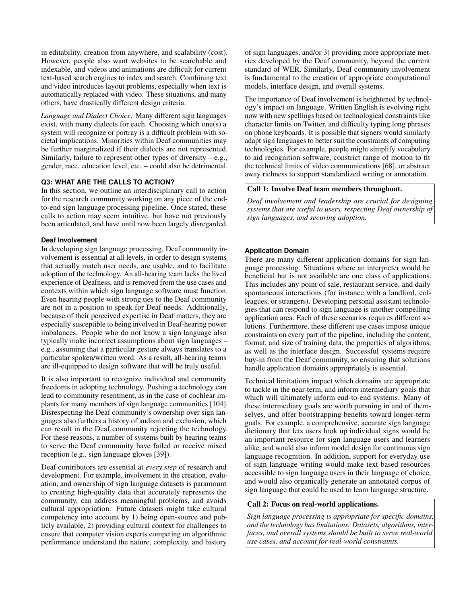in editability, creation from anywhere, and scalability (cost). However, people also want websites to be searchable and indexable, and videos and animations are difficult for current text-based search engines to index and search. Combining text and video introduces layout problems, especially when text is automatically replaced with video. These situations, and many others, have drastically different design criteria.

*Language and Dialect Choice:* Many different sign languages exist, with many dialects for each. Choosing which one(s) a system will recognize or portray is a difficult problem with societal implications. Minorities within Deaf communities may be further marginalized if their dialects are not represented. Similarly, failure to represent other types of diversity – e.g., gender, race, education level, etc. – could also be detrimental.

# **Q3: WHAT ARE THE CALLS TO ACTION?**

In this section, we outline an interdisciplinary call to action for the research community working on any piece of the endto-end sign language processing pipeline. Once stated, these calls to action may seem intuitive, but have not previously been articulated, and have until now been largely disregarded.

# **Deaf Involvement**

In developing sign language processing, Deaf community involvement is essential at all levels, in order to design systems that actually match user needs, are usable, and to facilitate adoption of the technology. An all-hearing team lacks the lived experience of Deafness, and is removed from the use cases and contexts within which sign language software must function. Even hearing people with strong ties to the Deaf community are not in a position to speak for Deaf needs. Additionally, because of their perceived expertise in Deaf matters, they are especially susceptible to being involved in Deaf-hearing power imbalances. People who do not know a sign language also typically make incorrect assumptions about sign languages – e.g., assuming that a particular gesture always translates to a particular spoken/written word. As a result, all-hearing teams are ill-equipped to design software that will be truly useful.

It is also important to recognize individual and community freedoms in adopting technology. Pushing a technology can lead to community resentment, as in the case of cochlear implants for many members of sign language communities [\[104\]](#page-14-22). Disrespecting the Deaf community's ownership over sign languages also furthers a history of [audism](#page-15-5) and exclusion, which can result in the Deaf community rejecting the technology. For these reasons, a number of systems built by hearing teams to serve the Deaf community have failed or receive mixed reception (e.g., sign language gloves [\[39\]](#page-11-0)).

Deaf contributors are essential at *every step* of research and development. For example, involvement in the creation, evaluation, and ownership of sign language datasets is paramount to creating high-quality data that accurately represents the community, can address meaningful problems, and avoids cultural appropriation. Future datasets might take cultural competency into account by 1) being open-source and publicly available, 2) providing cultural context for challenges to ensure that computer vision experts competing on algorithmic performance understand the nature, complexity, and history of sign languages, and/or 3) providing more appropriate metrics developed by the Deaf community, beyond the current standard of [WER.](#page-15-23) Similarly, Deaf community involvement is fundamental to the creation of appropriate computational models, interface design, and overall systems.

The importance of Deaf involvement is heightened by technology's impact on language. Written English is evolving right now with new spellings based on technological constraints like character limits on Twitter, and diffculty typing long phrases on phone keyboards. It is possible that signers would similarly adapt sign languages to better suit the constraints of computing technologies. For example, people might simplify vocabulary to aid recognition software, constrict range of motion to ft the technical limits of video communications [\[68\]](#page-12-20), or abstract away richness to support standardized writing or [annotation.](#page-15-15)

# Call 1: Involve Deaf team members throughout.

*Deaf involvement and leadership are crucial for designing systems that are useful to users, respecting Deaf ownership of sign languages, and securing adoption.* 

# **Application Domain**

There are many different application domains for sign language processing. Situations where an interpreter would be benefcial but is not available are one class of applications. This includes any point of sale, restaurant service, and daily spontaneous interactions (for instance with a landlord, colleagues, or strangers). Developing personal assistant technologies that can respond to sign language is another compelling application area. Each of these scenarios requires different solutions. Furthermore, these different use cases impose unique constraints on every part of the pipeline, including the content, format, and size of training data, the properties of algorithms, as well as the interface design. Successful systems require buy-in from the Deaf community, so ensuring that solutions handle application domains appropriately is essential.

Technical limitations impact which domains are appropriate to tackle in the near-term, and inform intermediary goals that which will ultimately inform end-to-end systems. Many of these intermediary goals are worth pursuing in and of themselves, and offer bootstrapping benefts toward longer-term goals. For example, a comprehensive, accurate sign language dictionary that lets users look up individual signs would be an important resource for sign language users and learners alike, and would also inform model design for continuous sign language recognition. In addition, support for everyday use of sign language writing would make text-based resources accessible to sign language users in their language of choice, and would also organically generate an annotated corpus of sign language that could be used to learn language structure.

## Call 2: Focus on real-world applications.

*Sign language processing is appropriate for specifc domains, and the technology has limitations. Datasets, algorithms, interfaces, and overall systems should be built to serve real-world use cases, and account for real-world constraints.*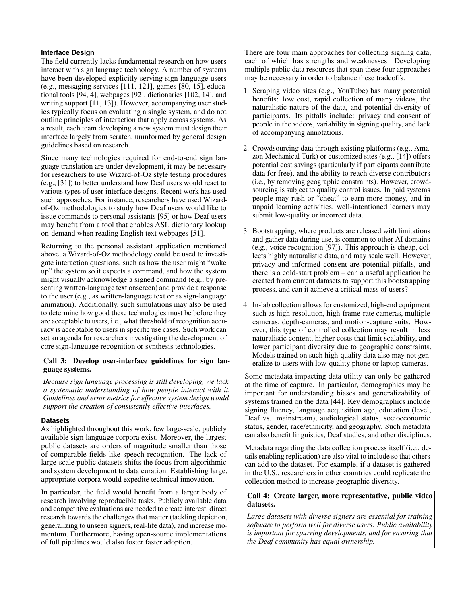# **Interface Design**

The feld currently lacks fundamental research on how users interact with sign language technology. A number of systems have been developed explicitly serving sign language users (e.g., messaging services [\[111,](#page-14-23) [121\]](#page-14-24), games [\[80,](#page-13-18) [15\]](#page-10-20), educational tools [\[94,](#page-13-19) [4\]](#page-10-21), webpages [\[92\]](#page-13-20), dictionaries [\[102,](#page-14-25) [14\]](#page-10-22), and writing support [\[11,](#page-10-23) [13\]](#page-10-24)). However, accompanying user studies typically focus on evaluating a single system, and do not outline principles of interaction that apply across systems. As a result, each team developing a new system must design their interface largely from scratch, uninformed by general design guidelines based on research.

Since many technologies required for end-to-end sign language translation are under development, it may be necessary for researchers to use Wizard-of-Oz style testing procedures (e.g., [\[31\]](#page-11-21)) to better understand how Deaf users would react to various types of user-interface designs. Recent work has used such approaches. For instance, researchers have used Wizardof-Oz methodologies to study how Deaf users would like to issue commands to personal assistants [\[95\]](#page-13-21) or how Deaf users may beneft from a tool that enables [ASL](#page-15-0) dictionary lookup on-demand when reading English text webpages [\[51\]](#page-11-19).

Returning to the personal assistant application mentioned above, a Wizard-of-Oz methodology could be used to investigate interaction questions, such as how the user might "wake up" the system so it expects a command, and how the system might visually acknowledge a signed command (e.g., by presenting written-language text onscreen) and provide a response to the user (e.g., as written-language text or as sign-language animation). Additionally, such simulations may also be used to determine how good these technologies must be before they are acceptable to users, i.e., what threshold of recognition accuracy is acceptable to users in specifc use cases. Such work can set an agenda for researchers investigating the development of core sign-language recognition or synthesis technologies.

# Call 3: Develop user-interface guidelines for sign language systems.

*Because sign language processing is still developing, we lack a systematic understanding of how people interact with it. Guidelines and error metrics for effective system design would support the creation of consistently effective interfaces.* 

# **Datasets**

As highlighted throughout this work, few large-scale, publicly available sign language corpora exist. Moreover, the largest public datasets are orders of magnitude smaller than those of comparable felds like speech recognition. The lack of large-scale public datasets shifts the focus from algorithmic and system development to data curation. Establishing large, appropriate corpora would expedite technical innovation.

In particular, the feld would beneft from a larger body of research involving reproducible tasks. Publicly available data and competitive evaluations are needed to create interest, direct research towards the challenges that matter (tackling depiction, generalizing to unseen signers, real-life data), and increase momentum. Furthermore, having open-source implementations of full pipelines would also foster faster adoption.

There are four main approaches for collecting signing data, each of which has strengths and weaknesses. Developing multiple public data resources that span these four approaches may be necessary in order to balance these tradeoffs.

- 1. Scraping video sites (e.g., YouTube) has many potential benefts: low cost, rapid collection of many videos, the naturalistic nature of the data, and potential diversity of participants. Its pitfalls include: privacy and consent of people in the videos, variability in signing quality, and lack of accompanying [annotations.](#page-15-15)
- 2. Crowdsourcing data through existing platforms (e.g., Amazon Mechanical Turk) or customized sites (e.g., [\[14\]](#page-10-22)) offers potential cost savings (particularly if participants contribute data for free), and the ability to reach diverse contributors (i.e., by removing geographic constraints). However, crowdsourcing is subject to quality control issues. In paid systems people may rush or "cheat" to earn more money, and in unpaid learning activities, well-intentioned learners may submit low-quality or incorrect data.
- 3. Bootstrapping, where products are released with limitations and gather data during use, is common to other [AI](#page-15-19) domains (e.g., voice recognition [\[97\]](#page-13-22)). This approach is cheap, collects highly naturalistic data, and may scale well. However, privacy and informed consent are potential pitfalls, and there is a cold-start problem – can a useful application be created from current datasets to support this bootstrapping process, and can it achieve a critical mass of users?
- 4. In-lab collection allows for customized, high-end equipment such as high-resolution, high-frame-rate cameras, multiple cameras, depth-cameras, and motion-capture suits. However, this type of controlled collection may result in less naturalistic content, higher costs that limit scalability, and lower participant diversity due to geographic constraints. Models trained on such high-quality data also may not generalize to users with low-quality phone or laptop cameras.

Some metadata impacting data utility can only be gathered at the time of capture. In particular, demographics may be important for understanding biases and generalizability of systems trained on the data [\[44\]](#page-11-22). Key demographics include signing fuency, language acquisition age, education (level, Deaf vs. mainstream), audiological status, socioeconomic status, gender, race/ethnicity, and geography. Such metadata can also beneft linguistics, Deaf studies, and other disciplines.

Metadata regarding the data collection process itself (i.e., details enabling replication) are also vital to include so that others can add to the dataset. For example, if a dataset is gathered in the U.S., researchers in other countries could replicate the collection method to increase geographic diversity.

# Call 4: Create larger, more representative, public video datasets.

*Large datasets with diverse signers are essential for training software to perform well for diverse users. Public availability is important for spurring developments, and for ensuring that the Deaf community has equal ownership.*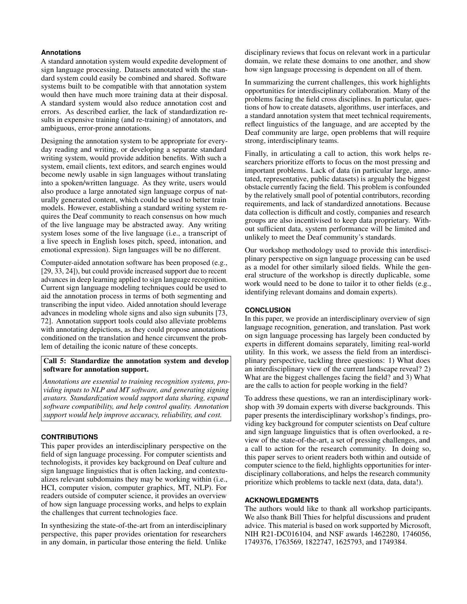# **Annotations**

A standard [annotation](#page-15-15) system would expedite development of sign language processing. Datasets annotated with the standard system could easily be combined and shared. Software systems built to be compatible with that [annotation](#page-15-15) system would then have much more training data at their disposal. A standard system would also reduce [annotation](#page-15-15) cost and errors. As described earlier, the lack of standardization results in expensive training (and re-training) of annotators, and ambiguous, error-prone [annotations.](#page-15-15)

Designing the [annotation](#page-15-15) system to be appropriate for everyday reading and writing, or developing a separate standard writing system, would provide addition benefts. With such a system, email clients, text editors, and search engines would become newly usable in sign languages without translating into a spoken/written language. As they write, users would also produce a large annotated sign language corpus of naturally generated content, which could be used to better train models. However, establishing a standard writing system requires the Deaf community to reach consensus on how much of the live language may be abstracted away. Any writing system loses some of the live language (i.e., a transcript of a live speech in English loses pitch, speed, intonation, and emotional expression). Sign languages will be no different.

Computer-aided [annotation](#page-15-15) software has been proposed (e.g., [\[29,](#page-11-23) [33,](#page-11-24) [24\]](#page-10-25)), but could provide increased support due to recent advances in deep learning applied to sign language recognition. Current sign language modeling techniques could be used to aid the [annotation](#page-15-15) process in terms of both segmenting and transcribing the input video. Aided [annotation](#page-15-15) should leverage advances in modeling whole signs and also sign subunits [\[73,](#page-12-21) [72\]](#page-12-9). Annotation support tools could also alleviate problems with annotating depictions, as they could propose [annotations](#page-15-15)  conditioned on the translation and hence circumvent the problem of detailing the iconic nature of these concepts.

# Call 5: Standardize the [annotation](#page-15-15) system and develop software for [annotation](#page-15-15) support.

*Annotations are essential to training recognition systems, providing inputs to [NLP](#page-15-1) and [MT](#page-15-2) software, and generating signing avatars. Standardization would support data sharing, expand software compatibility, and help control quality. Annotation support would help improve accuracy, reliability, and cost.* 

## **CONTRIBUTIONS**

This paper provides an interdisciplinary perspective on the feld of sign language processing. For computer scientists and technologists, it provides key background on Deaf culture and sign language linguistics that is often lacking, and contextualizes relevant subdomains they may be working within (i.e., [HCI,](#page-15-3) computer vision, computer graphics, [MT,](#page-15-2) [NLP\)](#page-15-1). For readers outside of computer science, it provides an overview of how sign language processing works, and helps to explain the challenges that current technologies face.

In synthesizing the state-of-the-art from an interdisciplinary perspective, this paper provides orientation for researchers in any domain, in particular those entering the feld. Unlike

disciplinary reviews that focus on relevant work in a particular domain, we relate these domains to one another, and show how sign language processing is dependent on all of them.

In summarizing the current challenges, this work highlights opportunities for interdisciplinary collaboration. Many of the problems facing the feld cross disciplines. In particular, questions of how to create datasets, algorithms, user interfaces, and a standard annotation system that meet technical requirements, refect linguistics of the language, and are accepted by the Deaf community are large, open problems that will require strong, interdisciplinary teams.

Finally, in articulating a call to action, this work helps researchers prioritize efforts to focus on the most pressing and important problems. Lack of data (in particular large, annotated, representative, public datasets) is arguably the biggest obstacle currently facing the feld. This problem is confounded by the relatively small pool of potential contributors, recording requirements, and lack of standardized annotations. Because data collection is diffcult and costly, companies and research groups are also incentivised to keep data proprietary. Without suffcient data, system performance will be limited and unlikely to meet the Deaf community's standards.

Our workshop methodology used to provide this interdisciplinary perspective on sign language processing can be used as a model for other similarly siloed felds. While the general structure of the workshop is directly duplicable, some work would need to be done to tailor it to other felds (e.g., identifying relevant domains and domain experts).

#### **CONCLUSION**

In this paper, we provide an interdisciplinary overview of sign language recognition, generation, and translation. Past work on sign language processing has largely been conducted by experts in different domains separately, limiting real-world utility. In this work, we assess the feld from an interdisciplinary perspective, tackling three questions: 1) What does an interdisciplinary view of the current landscape reveal? 2) What are the biggest challenges facing the feld? and 3) What are the calls to action for people working in the feld?

To address these questions, we ran an interdisciplinary workshop with 39 domain experts with diverse backgrounds. This paper presents the interdisciplinary workshop's fndings, providing key background for computer scientists on Deaf culture and sign language linguistics that is often overlooked, a review of the state-of-the-art, a set of pressing challenges, and a call to action for the research community. In doing so, this paper serves to orient readers both within and outside of computer science to the feld, highlights opportunities for interdisciplinary collaborations, and helps the research community prioritize which problems to tackle next (data, data, data!).

# **ACKNOWLEDGMENTS**

The authors would like to thank all workshop participants. We also thank Bill Thies for helpful discussions and prudent advice. This material is based on work supported by Microsoft, NIH R21-DC016104, and NSF awards 1462280, 1746056, 1749376, 1763569, 1822747, 1625793, and 1749384.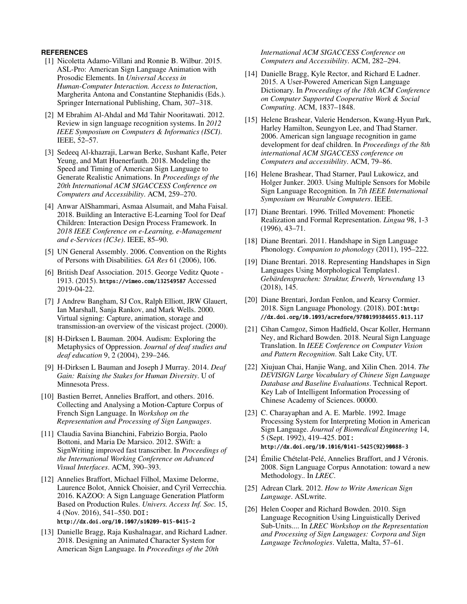# <span id="page-10-17"></span>**REFERENCES**

- [1] Nicoletta Adamo-Villani and Ronnie B. Wilbur. 2015. ASL-Pro: American Sign Language Animation with Prosodic Elements. In *Universal Access in Human-Computer Interaction. Access to Interaction*, Margherita Antona and Constantine Stephanidis (Eds.). Springer International Publishing, Cham, 307–318.
- <span id="page-10-8"></span>[2] M Ebrahim Al-Ahdal and Md Tahir Nooritawati. 2012. Review in sign language recognition systems. In *2012 IEEE Symposium on Computers & Informatics (ISCI)*. IEEE, 52–57.
- <span id="page-10-16"></span>[3] Sedeeq Al-khazraji, Larwan Berke, Sushant Kafe, Peter Yeung, and Matt Huenerfauth. 2018. Modeling the Speed and Timing of American Sign Language to Generate Realistic Animations. In *Proceedings of the 20th International ACM SIGACCESS Conference on Computers and Accessibility*. ACM, 259–270.
- <span id="page-10-21"></span>[4] Anwar AlShammari, Asmaa Alsumait, and Maha Faisal. 2018. Building an Interactive E-Learning Tool for Deaf Children: Interaction Design Process Framework. In *2018 IEEE Conference on e-Learning, e-Management and e-Services (IC3e)*. IEEE, 85–90.
- <span id="page-10-3"></span>[5] UN General Assembly. 2006. Convention on the Rights of Persons with Disabilities. *GA Res* 61 (2006), 106.
- <span id="page-10-1"></span>[6] British Deaf Association. 2015. George Veditz Quote - 1913. (2015). <https://vimeo.com/132549587> Accessed 2019-04-22.
- <span id="page-10-19"></span>[7] J Andrew Bangham, SJ Cox, Ralph Elliott, JRW Glauert, Ian Marshall, Sanja Rankov, and Mark Wells. 2000. Virtual signing: Capture, animation, storage and transmission-an overview of the visicast project. (2000).
- <span id="page-10-2"></span>[8] H-Dirksen L Bauman. 2004. Audism: Exploring the Metaphysics of Oppression. *Journal of deaf studies and deaf education* 9, 2 (2004), 239–246.
- <span id="page-10-0"></span>[9] H-Dirksen L Bauman and Joseph J Murray. 2014. *Deaf Gain: Raising the Stakes for Human Diversity*. U of Minnesota Press.
- <span id="page-10-9"></span>[10] Bastien Berret, Annelies Braffort, and others. 2016. Collecting and Analysing a Motion-Capture Corpus of French Sign Language. In *Workshop on the Representation and Processing of Sign Languages*.
- <span id="page-10-23"></span>[11] Claudia Savina Bianchini, Fabrizio Borgia, Paolo Bottoni, and Maria De Marsico. 2012. SWift: a SignWriting improved fast transcriber. In *Proceedings of the International Working Conference on Advanced Visual Interfaces*. ACM, 390–393.
- <span id="page-10-18"></span>[12] Annelies Braffort, Michael Filhol, Maxime Delorme, Laurence Bolot, Annick Choisier, and Cyril Verrecchia. 2016. KAZOO: A Sign Language Generation Platform Based on Production Rules. *Univers. Access Inf. Soc.* 15, 4 (Nov. 2016), 541–550. DOI: <http://dx.doi.org/10.1007/s10209-015-0415-2>
- <span id="page-10-24"></span>[13] Danielle Bragg, Raja Kushalnagar, and Richard Ladner. 2018. Designing an Animated Character System for American Sign Language. In *Proceedings of the 20th*

*International ACM SIGACCESS Conference on Computers and Accessibility*. ACM, 282–294.

- <span id="page-10-22"></span>[14] Danielle Bragg, Kyle Rector, and Richard E Ladner. 2015. A User-Powered American Sign Language Dictionary. In *Proceedings of the 18th ACM Conference on Computer Supported Cooperative Work & Social Computing*. ACM, 1837–1848.
- <span id="page-10-20"></span>[15] Helene Brashear, Valerie Henderson, Kwang-Hyun Park, Harley Hamilton, Seungyon Lee, and Thad Starner. 2006. American sign language recognition in game development for deaf children. In *Proceedings of the 8th international ACM SIGACCESS conference on Computers and accessibility*. ACM, 79–86.
- <span id="page-10-12"></span>[16] Helene Brashear, Thad Starner, Paul Lukowicz, and Holger Junker. 2003. Using Multiple Sensors for Mobile Sign Language Recognition. In *7th IEEE International Symposium on Wearable Computers*. IEEE.
- <span id="page-10-4"></span>[17] Diane Brentari. 1996. Trilled Movement: Phonetic Realization and Formal Representation. *Lingua* 98, 1-3 (1996), 43–71.
- <span id="page-10-6"></span>[18] Diane Brentari. 2011. Handshape in Sign Language Phonology. *Companion to phonology* (2011), 195–222.
- <span id="page-10-7"></span>[19] Diane Brentari. 2018. Representing Handshapes in Sign Languages Using Morphological Templates1. *Gebärdensprachen: Struktur, Erwerb, Verwendung* 13 (2018), 145.
- <span id="page-10-5"></span>[20] Diane Brentari, Jordan Fenlon, and Kearsy Cormier. 2018. Sign Language Phonology. (2018). DOI:[http:](http://dx.doi.org/10.1093/acrefore/9780199384655.013.117) [//dx.doi.org/10.1093/acrefore/9780199384655.013.117](http://dx.doi.org/10.1093/acrefore/9780199384655.013.117)
- <span id="page-10-10"></span>[21] Cihan Camgoz, Simon Hadfield, Oscar Koller, Hermann Ney, and Richard Bowden. 2018. Neural Sign Language Translation. In *IEEE Conference on Computer Vision and Pattern Recognition*. Salt Lake City, UT.
- <span id="page-10-14"></span>[22] Xiujuan Chai, Hanjie Wang, and Xilin Chen. 2014. *The DEVISIGN Large Vocabulary of Chinese Sign Language Database and Baseline Evaluations*. Technical Report. Key Lab of Intelligent Information Processing of Chinese Academy of Sciences. 00000.
- <span id="page-10-11"></span>[23] C. Charayaphan and A. E. Marble. 1992. Image Processing System for Interpreting Motion in American Sign Language. *Journal of Biomedical Engineering* 14, 5 (Sept. 1992), 419–425. DOI: [http://dx.doi.org/10.1016/0141-5425\(92\)90088-3](http://dx.doi.org/10.1016/0141-5425(92)90088-3)
- <span id="page-10-25"></span>[24] Émilie Chételat-Pelé, Annelies Braffort, and J Véronis. 2008. Sign Language Corpus Annotation: toward a new Methodology.. In *LREC*.
- <span id="page-10-15"></span>[25] Adrean Clark. 2012. *How to Write American Sign Language*. ASLwrite.
- <span id="page-10-13"></span>[26] Helen Cooper and Richard Bowden. 2010. Sign Language Recognition Using Linguistically Derived Sub-Units.... In *LREC Workshop on the Representation and Processing of Sign Languages: Corpora and Sign Language Technologies*. Valetta, Malta, 57–61.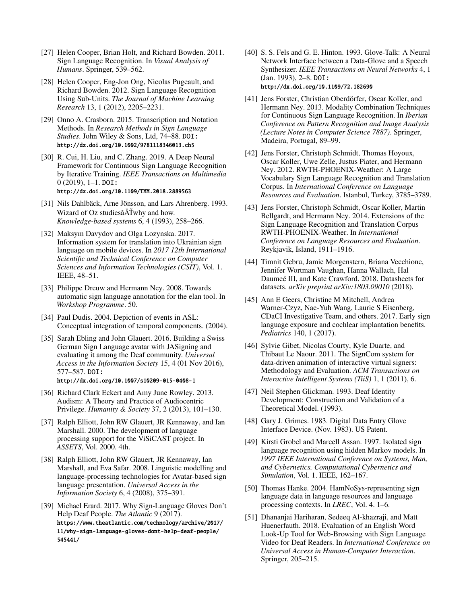- <span id="page-11-5"></span>[27] Helen Cooper, Brian Holt, and Richard Bowden. 2011. Sign Language Recognition. In *Visual Analysis of Humans*. Springer, 539–562.
- <span id="page-11-6"></span>[28] Helen Cooper, Eng-Jon Ong, Nicolas Pugeault, and Richard Bowden. 2012. Sign Language Recognition Using Sub-Units. *The Journal of Machine Learning Research* 13, 1 (2012), 2205–2231.
- <span id="page-11-23"></span>[29] Onno A. Crasborn. 2015. Transcription and Notation Methods. In *Research Methods in Sign Language Studies*. John Wiley & Sons, Ltd, 74–88. DOI: <http://dx.doi.org/10.1002/9781118346013.ch5>
- <span id="page-11-12"></span>[30] R. Cui, H. Liu, and C. Zhang. 2019. A Deep Neural Framework for Continuous Sign Language Recognition by Iterative Training. *IEEE Transactions on Multimedia*  0 (2019), 1–1. DOI: <http://dx.doi.org/10.1109/TMM.2018.2889563>
- <span id="page-11-21"></span>[31] Nils Dahlbäck, Arne Jönsson, and Lars Ahrenberg. 1993. Wizard of Oz studiesâ $\tilde{A}$ Twhy and how. *Knowledge-based systems* 6, 4 (1993), 258–266.
- <span id="page-11-15"></span>[32] Maksym Davydov and Olga Lozynska. 2017. Information system for translation into Ukrainian sign language on mobile devices. In *2017 12th International Scientifc and Technical Conference on Computer Sciences and Information Technologies (CSIT)*, Vol. 1. IEEE, 48–51.
- <span id="page-11-24"></span>[33] Philippe Dreuw and Hermann Ney. 2008. Towards automatic sign language annotation for the elan tool. In *Workshop Programme*. 50.
- <span id="page-11-4"></span>[34] Paul Dudis. 2004. Depiction of events in ASL: Conceptual integration of temporal components. (2004).
- <span id="page-11-18"></span>[35] Sarah Ebling and John Glauert. 2016. Building a Swiss German Sign Language avatar with JASigning and evaluating it among the Deaf community. *Universal Access in the Information Society* 15, 4 (01 Nov 2016), 577–587. DOI: <http://dx.doi.org/10.1007/s10209-015-0408-1>
- <span id="page-11-2"></span>[36] Richard Clark Eckert and Amy June Rowley. 2013. Audism: A Theory and Practice of Audiocentric Privilege. *Humanity & Society* 37, 2 (2013), 101–130.
- <span id="page-11-14"></span>[37] Ralph Elliott, John RW Glauert, JR Kennaway, and Ian Marshall. 2000. The development of language processing support for the ViSiCAST project. In *ASSETS*, Vol. 2000. 4th.
- <span id="page-11-16"></span>[38] Ralph Elliott, John RW Glauert, JR Kennaway, Ian Marshall, and Eva Safar. 2008. Linguistic modelling and language-processing technologies for Avatar-based sign language presentation. *Universal Access in the Information Society* 6, 4 (2008), 375–391.
- <span id="page-11-0"></span>[39] Michael Erard. 2017. Why Sign-Language Gloves Don't Help Deaf People. *The Atlantic* 9 (2017). [https://www.theatlantic.com/technology/archive/2017/](https://www.theatlantic.com/technology/archive/2017/11/why-sign-language-gloves-dont-help-deaf-people/545441/) [11/why-sign-language-gloves-dont-help-deaf-people/](https://www.theatlantic.com/technology/archive/2017/11/why-sign-language-gloves-dont-help-deaf-people/545441/) [545441/](https://www.theatlantic.com/technology/archive/2017/11/why-sign-language-gloves-dont-help-deaf-people/545441/)
- <span id="page-11-9"></span>[40] S. S. Fels and G. E. Hinton. 1993. Glove-Talk: A Neural Network Interface between a Data-Glove and a Speech Synthesizer. *IEEE Transactions on Neural Networks* 4, 1 (Jan. 1993), 2–8. DOI: <http://dx.doi.org/10.1109/72.182690>
- <span id="page-11-11"></span>[41] Jens Forster, Christian Oberdörfer, Oscar Koller, and Hermann Ney. 2013. Modality Combination Techniques for Continuous Sign Language Recognition. In *Iberian Conference on Pattern Recognition and Image Analysis (Lecture Notes in Computer Science 7887)*. Springer, Madeira, Portugal, 89–99.
- <span id="page-11-20"></span>[42] Jens Forster, Christoph Schmidt, Thomas Hoyoux, Oscar Koller, Uwe Zelle, Justus Piater, and Hermann Ney. 2012. RWTH-PHOENIX-Weather: A Large Vocabulary Sign Language Recognition and Translation Corpus. In *International Conference on Language Resources and Evaluation*. Istanbul, Turkey, 3785–3789.
- <span id="page-11-7"></span>[43] Jens Forster, Christoph Schmidt, Oscar Koller, Martin Bellgardt, and Hermann Ney. 2014. Extensions of the Sign Language Recognition and Translation Corpus RWTH-PHOENIX-Weather. In *International Conference on Language Resources and Evaluation*. Reykjavik, Island, 1911–1916.
- <span id="page-11-22"></span>[44] Timnit Gebru, Jamie Morgenstern, Briana Vecchione, Jennifer Wortman Vaughan, Hanna Wallach, Hal Daumeé III, and Kate Crawford. 2018. Datasheets for datasets. *arXiv preprint arXiv:1803.09010* (2018).
- <span id="page-11-3"></span>[45] Ann E Geers, Christine M Mitchell, Andrea Warner-Czyz, Nae-Yuh Wang, Laurie S Eisenberg, CDaCI Investigative Team, and others. 2017. Early sign language exposure and cochlear implantation benefts. *Pediatrics* 140, 1 (2017).
- <span id="page-11-17"></span>[46] Sylvie Gibet, Nicolas Courty, Kyle Duarte, and Thibaut Le Naour. 2011. The SignCom system for data-driven animation of interactive virtual signers: Methodology and Evaluation. *ACM Transactions on Interactive Intelligent Systems (TiiS)* 1, 1 (2011), 6.
- <span id="page-11-1"></span>[47] Neil Stephen Glickman. 1993. Deaf Identity Development: Construction and Validation of a Theoretical Model. (1993).
- <span id="page-11-8"></span>[48] Gary J. Grimes. 1983. Digital Data Entry Glove Interface Device. (Nov. 1983). US Patent.
- <span id="page-11-10"></span>[49] Kirsti Grobel and Marcell Assan. 1997. Isolated sign language recognition using hidden Markov models. In *1997 IEEE International Conference on Systems, Man, and Cybernetics. Computational Cybernetics and Simulation*, Vol. 1. IEEE, 162–167.
- <span id="page-11-13"></span>[50] Thomas Hanke. 2004. HamNoSys-representing sign language data in language resources and language processing contexts. In *LREC*, Vol. 4. 1–6.
- <span id="page-11-19"></span>[51] Dhananjai Hariharan, Sedeeq Al-khazraji, and Matt Huenerfauth. 2018. Evaluation of an English Word Look-Up Tool for Web-Browsing with Sign Language Video for Deaf Readers. In *International Conference on Universal Access in Human-Computer Interaction*. Springer, 205–215.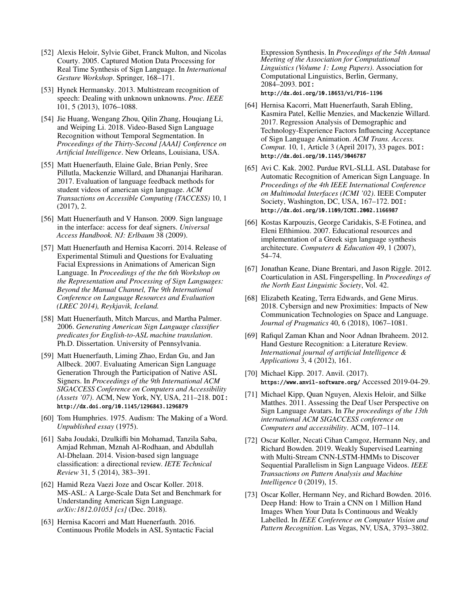- <span id="page-12-4"></span>[52] Alexis Heloir, Sylvie Gibet, Franck Multon, and Nicolas Courty. 2005. Captured Motion Data Processing for Real Time Synthesis of Sign Language. In *International Gesture Workshop*. Springer, 168–171.
- <span id="page-12-19"></span>[53] Hynek Hermansky. 2013. Multistream recognition of speech: Dealing with unknown unknowns. *Proc. IEEE*  101, 5 (2013), 1076–1088.
- <span id="page-12-8"></span>[54] Jie Huang, Wengang Zhou, Qilin Zhang, Houqiang Li, and Weiping Li. 2018. Video-Based Sign Language Recognition without Temporal Segmentation. In *Proceedings of the Thirty-Second {AAAI} Conference on Artifcial Intelligence*. New Orleans, Louisiana, USA.
- <span id="page-12-17"></span>[55] Matt Huenerfauth, Elaine Gale, Brian Penly, Sree Pillutla, Mackenzie Willard, and Dhananjai Hariharan. 2017. Evaluation of language feedback methods for student videos of american sign language. *ACM Transactions on Accessible Computing (TACCESS)* 10, 1 (2017), 2.
- <span id="page-12-10"></span>[56] Matt Huenerfauth and V Hanson. 2009. Sign language in the interface: access for deaf signers. *Universal Access Handbook. NJ: Erlbaum* 38 (2009).
- <span id="page-12-12"></span>[57] Matt Huenerfauth and Hernisa Kacorri. 2014. Release of Experimental Stimuli and Questions for Evaluating Facial Expressions in Animations of American Sign Language. In *Proceedings of the the 6th Workshop on the Representation and Processing of Sign Languages: Beyond the Manual Channel, The 9th International Conference on Language Resources and Evaluation (LREC 2014), Reykjavik, Iceland.*
- <span id="page-12-13"></span>[58] Matt Huenerfauth, Mitch Marcus, and Martha Palmer. 2006. *Generating American Sign Language classifer predicates for English-to-ASL machine translation*. Ph.D. Dissertation. University of Pennsylvania.
- <span id="page-12-15"></span>[59] Matt Huenerfauth, Liming Zhao, Erdan Gu, and Jan Allbeck. 2007. Evaluating American Sign Language Generation Through the Participation of Native ASL Signers. In *Proceedings of the 9th International ACM SIGACCESS Conference on Computers and Accessibility (Assets '07)*. ACM, New York, NY, USA, 211–218. DOI: <http://dx.doi.org/10.1145/1296843.1296879>
- <span id="page-12-0"></span>[60] Tom Humphries. 1975. Audism: The Making of a Word. *Unpublished essay* (1975).
- <span id="page-12-2"></span>[61] Saba Joudaki, Dzulkifi bin Mohamad, Tanzila Saba, Amjad Rehman, Mznah Al-Rodhaan, and Abdullah Al-Dhelaan. 2014. Vision-based sign language classifcation: a directional review. *IETE Technical Review* 31, 5 (2014), 383–391.
- <span id="page-12-6"></span>[62] Hamid Reza Vaezi Joze and Oscar Koller. 2018. MS-ASL: A Large-Scale Data Set and Benchmark for Understanding American Sign Language. *arXiv:1812.01053 [cs]* (Dec. 2018).
- <span id="page-12-14"></span>[63] Hernisa Kacorri and Matt Huenerfauth. 2016. Continuous Profle Models in ASL Syntactic Facial

Expression Synthesis. In *Proceedings of the 54th Annual Meeting of the Association for Computational Linguistics (Volume 1: Long Papers)*. Association for Computational Linguistics, Berlin, Germany, 2084–2093. DOI:

<http://dx.doi.org/10.18653/v1/P16-1196>

- <span id="page-12-16"></span>[64] Hernisa Kacorri, Matt Huenerfauth, Sarah Ebling, Kasmira Patel, Kellie Menzies, and Mackenzie Willard. 2017. Regression Analysis of Demographic and Technology-Experience Factors Infuencing Acceptance of Sign Language Animation. *ACM Trans. Access. Comput.* 10, 1, Article 3 (April 2017), 33 pages. DOI: <http://dx.doi.org/10.1145/3046787>
- <span id="page-12-5"></span>[65] Avi C. Kak. 2002. Purdue RVL-SLLL ASL Database for Automatic Recognition of American Sign Language. In *Proceedings of the 4th IEEE International Conference on Multimodal Interfaces (ICMI '02)*. IEEE Computer Society, Washington, DC, USA, 167–172. DOI: <http://dx.doi.org/10.1109/ICMI.2002.1166987>
- <span id="page-12-11"></span>[66] Kostas Karpouzis, George Caridakis, S-E Fotinea, and Eleni Efthimiou. 2007. Educational resources and implementation of a Greek sign language synthesis architecture. *Computers & Education* 49, 1 (2007), 54–74.
- <span id="page-12-1"></span>[67] Jonathan Keane, Diane Brentari, and Jason Riggle. 2012. Coarticulation in ASL Fingerspelling. In *Proceedings of the North East Linguistic Society*, Vol. 42.
- <span id="page-12-20"></span>[68] Elizabeth Keating, Terra Edwards, and Gene Mirus. 2018. Cybersign and new Proximities: Impacts of New Communication Technologies on Space and Language. *Journal of Pragmatics* 40, 6 (2018), 1067–1081.
- <span id="page-12-3"></span>[69] Rafqul Zaman Khan and Noor Adnan Ibraheem. 2012. Hand Gesture Recognition: a Literature Review. *International journal of artifcial Intelligence & Applications* 3, 4 (2012), 161.
- <span id="page-12-7"></span>[70] Michael Kipp. 2017. Anvil. (2017). <https://www.anvil-software.org/> Accessed 2019-04-29.
- <span id="page-12-18"></span>[71] Michael Kipp, Quan Nguyen, Alexis Heloir, and Silke Matthes. 2011. Assessing the Deaf User Perspective on Sign Language Avatars. In *The proceedings of the 13th international ACM SIGACCESS conference on Computers and accessibility*. ACM, 107–114.
- <span id="page-12-9"></span>[72] Oscar Koller, Necati Cihan Camgoz, Hermann Ney, and Richard Bowden. 2019. Weakly Supervised Learning with Multi-Stream CNN-LSTM-HMMs to Discover Sequential Parallelism in Sign Language Videos. *IEEE Transactions on Pattern Analysis and Machine Intelligence* 0 (2019), 15.
- <span id="page-12-21"></span>[73] Oscar Koller, Hermann Ney, and Richard Bowden. 2016. Deep Hand: How to Train a CNN on 1 Million Hand Images When Your Data Is Continuous and Weakly Labelled. In *IEEE Conference on Computer Vision and Pattern Recognition*. Las Vegas, NV, USA, 3793–3802.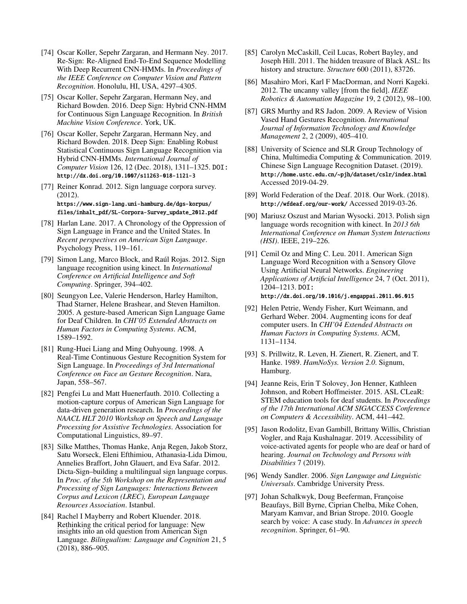- <span id="page-13-10"></span>[74] Oscar Koller, Sepehr Zargaran, and Hermann Ney. 2017. Re-Sign: Re-Aligned End-To-End Sequence Modelling With Deep Recurrent CNN-HMMs. In *Proceedings of the IEEE Conference on Computer Vision and Pattern Recognition*. Honolulu, HI, USA, 4297–4305.
- <span id="page-13-16"></span>[75] Oscar Koller, Sepehr Zargaran, Hermann Ney, and Richard Bowden. 2016. Deep Sign: Hybrid CNN-HMM for Continuous Sign Language Recognition. In *British Machine Vision Conference*. York, UK.
- <span id="page-13-15"></span>[76] Oscar Koller, Sepehr Zargaran, Hermann Ney, and Richard Bowden. 2018. Deep Sign: Enabling Robust Statistical Continuous Sign Language Recognition via Hybrid CNN-HMMs. *International Journal of Computer Vision* 126, 12 (Dec. 2018), 1311–1325. DOI: <http://dx.doi.org/10.1007/s11263-018-1121-3>
- <span id="page-13-9"></span>[77] Reiner Konrad. 2012. Sign language corpora survey. (2012). [https://www.sign-lang.uni-hamburg.de/dgs-korpus/](https://www.sign-lang.uni-hamburg.de/dgs-korpus/files/inhalt_pdf/SL-Corpora-Survey_update_2012.pdf) [files/inhalt\\_pdf/SL-Corpora-Survey\\_update\\_2012.pdf](https://www.sign-lang.uni-hamburg.de/dgs-korpus/files/inhalt_pdf/SL-Corpora-Survey_update_2012.pdf)
- <span id="page-13-1"></span>[78] Harlan Lane. 2017. A Chronology of the Oppression of Sign Language in France and the United States. In *Recent perspectives on American Sign Language*. Psychology Press, 119–161.
- <span id="page-13-14"></span>[79] Simon Lang, Marco Block, and Raúl Rojas. 2012. Sign language recognition using kinect. In *International Conference on Artifcial Intelligence and Soft Computing*. Springer, 394–402.
- <span id="page-13-18"></span>[80] Seungyon Lee, Valerie Henderson, Harley Hamilton, Thad Starner, Helene Brashear, and Steven Hamilton. 2005. A gesture-based American Sign Language Game for Deaf Children. In *CHI'05 Extended Abstracts on Human Factors in Computing Systems*. ACM, 1589–1592.
- <span id="page-13-12"></span>[81] Rung-Huei Liang and Ming Ouhyoung. 1998. A Real-Time Continuous Gesture Recognition System for Sign Language. In *Proceedings of 3rd International Conference on Face an Gesture Recognition*. Nara, Japan, 558–567.
- <span id="page-13-6"></span>[82] Pengfei Lu and Matt Huenerfauth. 2010. Collecting a motion-capture corpus of American Sign Language for data-driven generation research. In *Proceedings of the NAACL HLT 2010 Workshop on Speech and Language Processing for Assistive Technologies*. Association for Computational Linguistics, 89–97.
- <span id="page-13-11"></span>[83] Silke Matthes, Thomas Hanke, Anja Regen, Jakob Storz, Satu Worseck, Eleni Efthimiou, Athanasia-Lida Dimou, Annelies Braffort, John Glauert, and Eva Safar. 2012. Dicta-Sign–building a multilingual sign language corpus. In *Proc. of the 5th Workshop on the Representation and Processing of Sign Languages: Interactions Between Corpus and Lexicon (LREC), European Language Resources Association*. Istanbul.
- <span id="page-13-4"></span>[84] Rachel I Mayberry and Robert Kluender. 2018. Rethinking the critical period for language: New insights into an old question from American Sign Language. *Bilingualism: Language and Cognition* 21, 5 (2018), 886–905.
- <span id="page-13-3"></span>[85] Carolyn McCaskill, Ceil Lucas, Robert Bayley, and Joseph Hill. 2011. The hidden treasure of Black ASL: Its history and structure. *Structure* 600 (2011), 83726.
- <span id="page-13-17"></span>[86] Masahiro Mori, Karl F MacDorman, and Norri Kageki. 2012. The uncanny valley [from the feld]. *IEEE Robotics & Automation Magazine* 19, 2 (2012), 98–100.
- <span id="page-13-5"></span>[87] GRS Murthy and RS Jadon. 2009. A Review of Vision Vased Hand Gestures Recognition. *International Journal of Information Technology and Knowledge Management* 2, 2 (2009), 405–410.
- <span id="page-13-7"></span>[88] University of Science and SLR Group Technology of China, Multimedia Computing & Communication. 2019. Chinese Sign Language Recognition Dataset. (2019). <http://home.ustc.edu.cn/~pjh/dataset/cslr/index.html> Accessed 2019-04-29.
- <span id="page-13-0"></span>[89] World Federation of the Deaf. 2018. Our Work. (2018). <http://wfdeaf.org/our-work/> Accessed 2019-03-26.
- <span id="page-13-8"></span>[90] Mariusz Oszust and Marian Wysocki. 2013. Polish sign language words recognition with kinect. In *2013 6th International Conference on Human System Interactions (HSI)*. IEEE, 219–226.
- <span id="page-13-13"></span>[91] Cemil Oz and Ming C. Leu. 2011. American Sign Language Word Recognition with a Sensory Glove Using Artifcial Neural Networks. *Engineering Applications of Artifcial Intelligence* 24, 7 (Oct. 2011), 1204–1213. DOI:

```
http://dx.doi.org/10.1016/j.engappai.2011.06.015
```
- <span id="page-13-20"></span>[92] Helen Petrie, Wendy Fisher, Kurt Weimann, and Gerhard Weber. 2004. Augmenting icons for deaf computer users. In *CHI'04 Extended Abstracts on Human Factors in Computing Systems*. ACM, 1131–1134.
- <span id="page-13-23"></span>[93] S. Prillwitz, R. Leven, H. Zienert, R. Zienert, and T. Hanke. 1989. *HamNoSys. Version 2.0*. Signum, Hamburg.
- <span id="page-13-19"></span>[94] Jeanne Reis, Erin T Solovey, Jon Henner, Kathleen Johnson, and Robert Hoffmeister. 2015. ASL CLeaR: STEM education tools for deaf students. In *Proceedings of the 17th International ACM SIGACCESS Conference on Computers & Accessibility*. ACM, 441–442.
- <span id="page-13-21"></span>[95] Jason Rodolitz, Evan Gambill, Brittany Willis, Christian Vogler, and Raja Kushalnagar. 2019. Accessibility of voice-activated agents for people who are deaf or hard of hearing. *Journal on Technology and Persons with Disabilities* 7 (2019).
- <span id="page-13-2"></span>[96] Wendy Sandler. 2006. *Sign Language and Linguistic Universals*. Cambridge University Press.
- <span id="page-13-22"></span>[97] Johan Schalkwyk, Doug Beeferman, Françoise Beaufays, Bill Byrne, Ciprian Chelba, Mike Cohen, Maryam Kamvar, and Brian Strope. 2010. Google search by voice: A case study. In *Advances in speech recognition*. Springer, 61–90.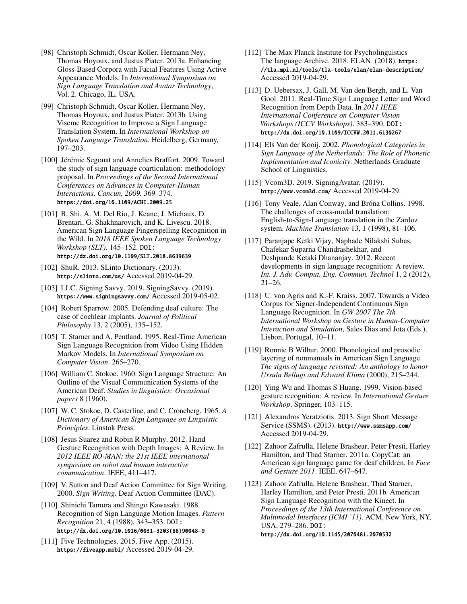- <span id="page-14-15"></span>[98] Christoph Schmidt, Oscar Koller, Hermann Ney, Thomas Hoyoux, and Justus Piater. 2013a. Enhancing Gloss-Based Corpora with Facial Features Using Active Appearance Models. In *International Symposium on Sign Language Translation and Avatar Technology*, Vol. 2. Chicago, IL, USA.
- <span id="page-14-14"></span>[99] Christoph Schmidt, Oscar Koller, Hermann Ney, Thomas Hoyoux, and Justus Piater. 2013b. Using Viseme Recognition to Improve a Sign Language Translation System. In *International Workshop on Spoken Language Translation*. Heidelberg, Germany, 197–203.
- <span id="page-14-20"></span>[100] Jérémie Segouat and Annelies Braffort. 2009. Toward the study of sign language coarticulation: methodology proposal. In *Proceedings of the Second International Conferences on Advances in Computer-Human Interactions, Cancun, 2009.* 369–374. <https://doi.org/10.1109/ACHI.2009.25>
- <span id="page-14-16"></span>[101] B. Shi, A. M. Del Rio, J. Keane, J. Michaux, D. Brentari, G. Shakhnarovich, and K. Livescu. 2018. American Sign Language Fingerspelling Recognition in the Wild. In *2018 IEEE Spoken Language Technology Workshop (SLT)*. 145–152. DOI: <http://dx.doi.org/10.1109/SLT.2018.8639639>
- <span id="page-14-25"></span>[102] ShuR. 2013. SLinto Dictionary. (2013). <http://slinto.com/us/> Accessed 2019-04-29.
- <span id="page-14-4"></span>[103] LLC. Signing Savvy. 2019. SigningSavvy. (2019). <https://www.signingsavvy.com/> Accessed 2019-05-02.
- <span id="page-14-22"></span>[104] Robert Sparrow. 2005. Defending deaf culture: The case of cochlear implants. *Journal of Political Philosophy* 13, 2 (2005), 135–152.
- <span id="page-14-11"></span>[105] T. Starner and A. Pentland. 1995. Real-Time American Sign Language Recognition from Video Using Hidden Markov Models. In *International Symposium on Computer Vision*. 265–270.
- <span id="page-14-1"></span>[106] William C. Stokoe. 1960. Sign Language Structure: An Outline of the Visual Communication Systems of the American Deaf. *Studies in linguistics: Occasional papers* 8 (1960).
- <span id="page-14-0"></span>[107] W. C. Stokoe, D. Casterline, and C. Croneberg. 1965. *A Dictionary of American Sign Language on Linguistic Principles*. Linstok Press.
- <span id="page-14-7"></span>[108] Jesus Suarez and Robin R Murphy. 2012. Hand Gesture Recognition with Depth Images: A Review. In *2012 IEEE RO-MAN: the 21st IEEE international symposium on robot and human interactive communication*. IEEE, 411–417.
- <span id="page-14-17"></span>[109] V. Sutton and Deaf Action Committee for Sign Writing. 2000. *Sign Writing*. Deaf Action Committee (DAC).
- <span id="page-14-10"></span>[110] Shinichi Tamura and Shingo Kawasaki. 1988. Recognition of Sign Language Motion Images. *Pattern Recognition* 21, 4 (1988), 343–353. DOI: [http://dx.doi.org/10.1016/0031-3203\(88\)90048-9](http://dx.doi.org/10.1016/0031-3203(88)90048-9)
- <span id="page-14-23"></span>[111] Five Technologies. 2015. Five App. (2015). <https://fiveapp.mobi/> Accessed 2019-04-29.
- <span id="page-14-9"></span>[112] The Max Planck Institute for Psycholinguistics The language Archive. 2018. ELAN. (2018). [https:](https://tla.mpi.nl/tools/tla-tools/elan/elan-description/) [//tla.mpi.nl/tools/tla-tools/elan/elan-description/](https://tla.mpi.nl/tools/tla-tools/elan/elan-description/) Accessed 2019-04-29.
- <span id="page-14-12"></span>[113] D. Uebersax, J. Gall, M. Van den Bergh, and L. Van Gool. 2011. Real-Time Sign Language Letter and Word Recognition from Depth Data. In *2011 IEEE International Conference on Computer Vision Workshops (ICCV Workshops)*. 383–390. DOI: <http://dx.doi.org/10.1109/ICCVW.2011.6130267>
- <span id="page-14-2"></span>[114] Els Van der Kooij. 2002. *Phonological Categories in Sign Language of the Netherlands: The Role of Phonetic Implementation and Iconicity*. Netherlands Graduate School of Linguistics.
- <span id="page-14-19"></span>[115] Vcom3D. 2019. SigningAvatar. (2019). <http://www.vcom3d.com/> Accessed 2019-04-29.
- <span id="page-14-18"></span>[116] Tony Veale, Alan Conway, and Bróna Collins. 1998. The challenges of cross-modal translation: English-to-Sign-Language translation in the Zardoz system. *Machine Translation* 13, 1 (1998), 81–106.
- <span id="page-14-5"></span>[117] Paranjape Ketki Vijay, Naphade Nilakshi Suhas, Chafekar Suparna Chandrashekhar, and Deshpande Ketaki Dhananjay. 2012. Recent developments in sign language recognition: A review. *Int. J. Adv. Comput. Eng. Commun. Technol* 1, 2 (2012),  $21-26.$
- <span id="page-14-8"></span>[118] U. von Agris and K.-F. Kraiss. 2007. Towards a Video Corpus for Signer-Independent Continuous Sign Language Recognition. In *GW 2007 The 7th International Workshop on Gesture in Human-Computer Interaction and Simulation*, Sales Dias and Jota (Eds.). Lisbon, Portugal, 10–11.
- <span id="page-14-3"></span>[119] Ronnie B Wilbur. 2000. Phonological and prosodic layering of nonmanuals in American Sign Language. *The signs of language revisited: An anthology to honor Ursula Bellugi and Edward Klima* (2000), 215–244.
- <span id="page-14-6"></span>[120] Ying Wu and Thomas S Huang. 1999. Vision-based gesture recognition: A review. In *International Gesture Workshop*. Springer, 103–115.
- <span id="page-14-24"></span>[121] Alexandros Yeratziotis. 2013. Sign Short Message Service (SSMS). (2013). <http://www.ssmsapp.com/> Accessed 2019-04-29.
- <span id="page-14-21"></span>[122] Zahoor Zafrulla, Helene Brashear, Peter Presti, Harley Hamilton, and Thad Starner. 2011a. CopyCat: an American sign language game for deaf children. In *Face and Gesture 2011*. IEEE, 647–647.
- <span id="page-14-13"></span>[123] Zahoor Zafrulla, Helene Brashear, Thad Starner, Harley Hamilton, and Peter Presti. 2011b. American Sign Language Recognition with the Kinect. In *Proceedings of the 13th International Conference on Multimodal Interfaces (ICMI '11)*. ACM, New York, NY, USA, 279–286. DOI: <http://dx.doi.org/10.1145/2070481.2070532>